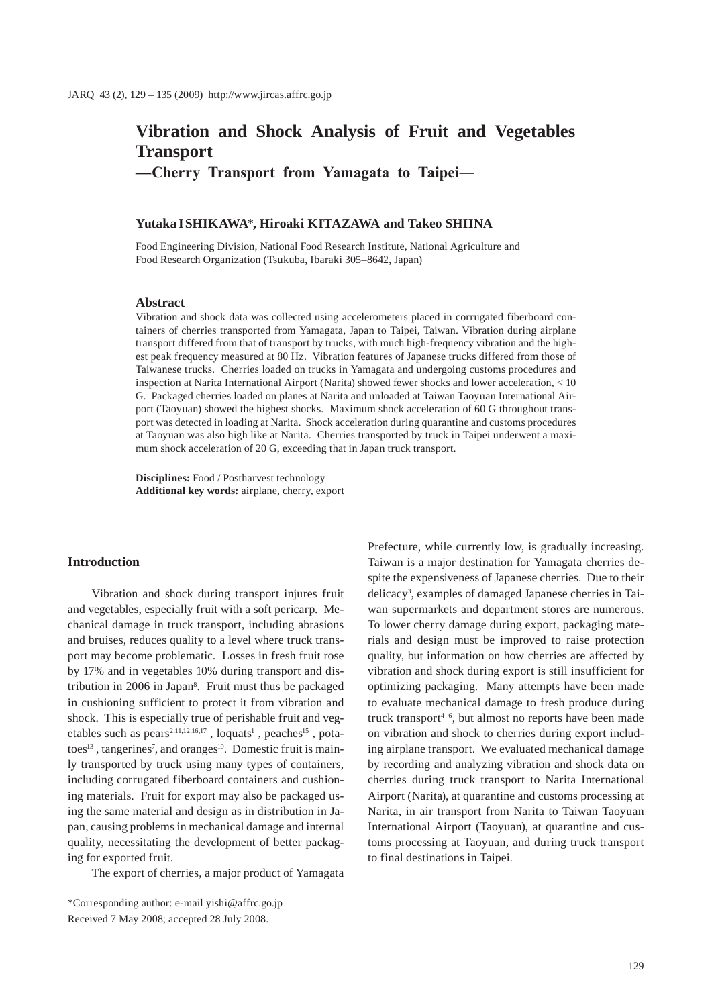# **Vibration and Shock Analysis of Fruit and Vegetables Transport**

**—Cherry Transport from Yamagata to Taipei―**

# **Yutaka ISHIKAWA**\***, Hiroaki KITAZAWA and Takeo SHIINA**

Food Engineering Division, National Food Research Institute, National Agriculture and Food Research Organization (Tsukuba, Ibaraki 305–8642, Japan)

#### **Abstract**

Vibration and shock data was collected using accelerometers placed in corrugated fiberboard containers of cherries transported from Yamagata, Japan to Taipei, Taiwan. Vibration during airplane transport differed from that of transport by trucks, with much high-frequency vibration and the highest peak frequency measured at 80 Hz. Vibration features of Japanese trucks differed from those of Taiwanese trucks. Cherries loaded on trucks in Yamagata and undergoing customs procedures and inspection at Narita International Airport (Narita) showed fewer shocks and lower acceleration, < 10 G. Packaged cherries loaded on planes at Narita and unloaded at Taiwan Taoyuan International Airport (Taoyuan) showed the highest shocks. Maximum shock acceleration of 60 G throughout transport was detected in loading at Narita. Shock acceleration during quarantine and customs procedures at Taoyuan was also high like at Narita. Cherries transported by truck in Taipei underwent a maximum shock acceleration of 20 G, exceeding that in Japan truck transport.

**Disciplines:** Food / Postharvest technology **Additional key words:** airplane, cherry, export

#### **Introduction**

Vibration and shock during transport injures fruit and vegetables, especially fruit with a soft pericarp. Mechanical damage in truck transport, including abrasions and bruises, reduces quality to a level where truck transport may become problematic. Losses in fresh fruit rose by 17% and in vegetables 10% during transport and distribution in 2006 in Japan<sup>8</sup>. Fruit must thus be packaged in cushioning sufficient to protect it from vibration and shock. This is especially true of perishable fruit and vegetables such as  $pears^{2,11,12,16,17}$ , loquats<sup>1</sup>, peaches<sup>15</sup>, potatoes<sup>13</sup>, tangerines<sup>7</sup>, and oranges<sup>10</sup>. Domestic fruit is mainly transported by truck using many types of containers, including corrugated fiberboard containers and cushioning materials. Fruit for export may also be packaged using the same material and design as in distribution in Japan, causing problems in mechanical damage and internal quality, necessitating the development of better packaging for exported fruit.

The export of cherries, a major product of Yamagata

Prefecture, while currently low, is gradually increasing. Taiwan is a major destination for Yamagata cherries despite the expensiveness of Japanese cherries. Due to their delicacy3 , examples of damaged Japanese cherries in Taiwan supermarkets and department stores are numerous. To lower cherry damage during export, packaging materials and design must be improved to raise protection quality, but information on how cherries are affected by vibration and shock during export is still insufficient for optimizing packaging. Many attempts have been made to evaluate mechanical damage to fresh produce during truck transport $4-6$ , but almost no reports have been made on vibration and shock to cherries during export including airplane transport. We evaluated mechanical damage by recording and analyzing vibration and shock data on cherries during truck transport to Narita International Airport (Narita), at quarantine and customs processing at Narita, in air transport from Narita to Taiwan Taoyuan International Airport (Taoyuan), at quarantine and customs processing at Taoyuan, and during truck transport to final destinations in Taipei.

<sup>\*</sup>Corresponding author: e-mail yishi@affrc.go.jp Received 7 May 2008; accepted 28 July 2008.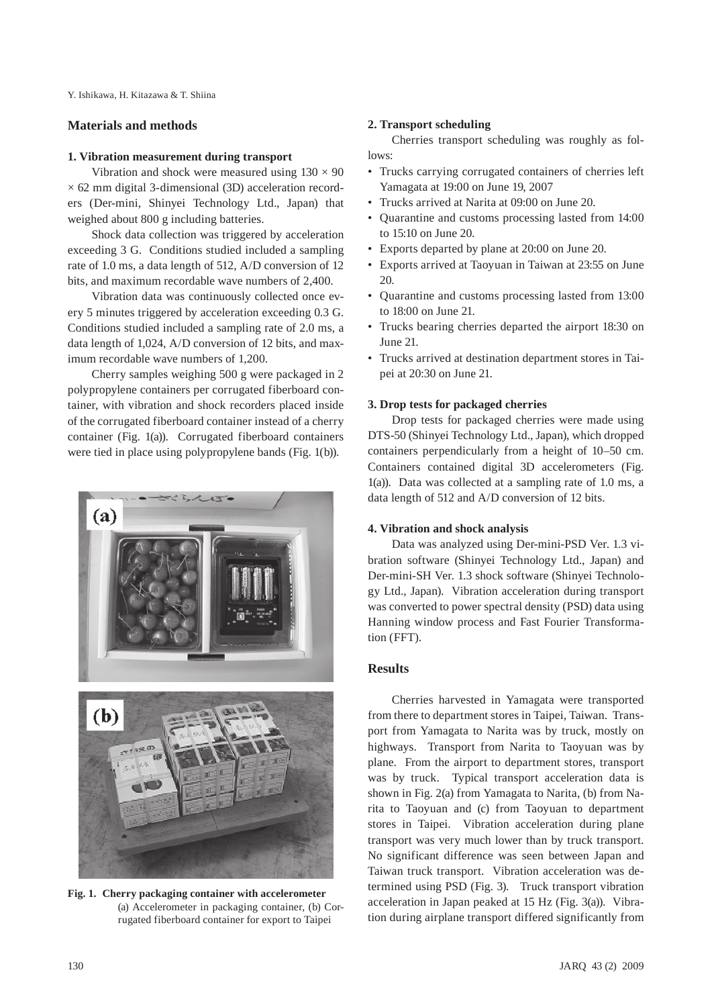Y. Ishikawa, H. Kitazawa & T. Shiina

# **Materials and methods**

#### **1. Vibration measurement during transport**

Vibration and shock were measured using  $130 \times 90$  $\times$  62 mm digital 3-dimensional (3D) acceleration recorders (Der-mini, Shinyei Technology Ltd., Japan) that weighed about 800 g including batteries.

Shock data collection was triggered by acceleration exceeding 3 G. Conditions studied included a sampling rate of 1.0 ms, a data length of 512, A/D conversion of 12 bits, and maximum recordable wave numbers of 2,400.

Vibration data was continuously collected once every 5 minutes triggered by acceleration exceeding 0.3 G. Conditions studied included a sampling rate of 2.0 ms, a data length of 1,024, A/D conversion of 12 bits, and maximum recordable wave numbers of 1,200.

Cherry samples weighing 500 g were packaged in 2 polypropylene containers per corrugated fiberboard container, with vibration and shock recorders placed inside of the corrugated fiberboard container instead of a cherry container (Fig. 1(a)). Corrugated fiberboard containers were tied in place using polypropylene bands (Fig. 1(b)).

# $255$ (a)



**Fig. 1. Cherry packaging container with accelerometer** (a) Accelerometer in packaging container, (b) Corrugated fiberboard container for export to Taipei

# **2. Transport scheduling**

Cherries transport scheduling was roughly as follows:

- Trucks carrying corrugated containers of cherries left Yamagata at 19:00 on June 19, 2007
- • Trucks arrived at Narita at 09:00 on June 20.
- Ouarantine and customs processing lasted from 14:00 to 15:10 on June 20.
- • Exports departed by plane at 20:00 on June 20.
- Exports arrived at Taoyuan in Taiwan at 23:55 on June 20.
- • Quarantine and customs processing lasted from 13:00 to 18:00 on June 21.
- Trucks bearing cherries departed the airport 18:30 on June 21.
- • Trucks arrived at destination department stores in Taipei at 20:30 on June 21.

#### **3. Drop tests for packaged cherries**

Drop tests for packaged cherries were made using DTS-50 (Shinyei Technology Ltd., Japan), which dropped containers perpendicularly from a height of 10–50 cm. Containers contained digital 3D accelerometers (Fig. 1(a)). Data was collected at a sampling rate of 1.0 ms, a data length of 512 and A/D conversion of 12 bits.

#### **4. Vibration and shock analysis**

Data was analyzed using Der-mini-PSD Ver. 1.3 vibration software (Shinyei Technology Ltd., Japan) and Der-mini-SH Ver. 1.3 shock software (Shinyei Technology Ltd., Japan). Vibration acceleration during transport was converted to power spectral density (PSD) data using Hanning window process and Fast Fourier Transformation (FFT).

## **Results**

Cherries harvested in Yamagata were transported from there to department stores in Taipei, Taiwan. Transport from Yamagata to Narita was by truck, mostly on highways. Transport from Narita to Taoyuan was by plane. From the airport to department stores, transport was by truck. Typical transport acceleration data is shown in Fig. 2(a) from Yamagata to Narita, (b) from Narita to Taoyuan and (c) from Taoyuan to department stores in Taipei. Vibration acceleration during plane transport was very much lower than by truck transport. No significant difference was seen between Japan and Taiwan truck transport. Vibration acceleration was determined using PSD (Fig. 3). Truck transport vibration acceleration in Japan peaked at 15 Hz (Fig. 3(a)). Vibration during airplane transport differed significantly from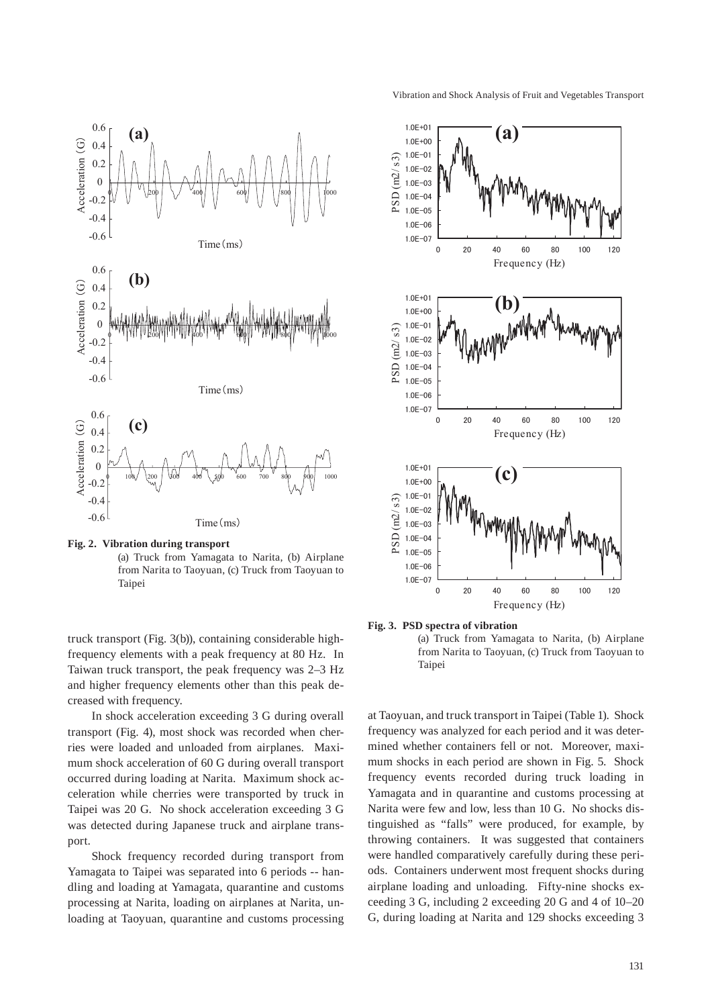



truck transport (Fig. 3(b)), containing considerable highfrequency elements with a peak frequency at 80 Hz. In Taiwan truck transport, the peak frequency was 2–3 Hz and higher frequency elements other than this peak decreased with frequency.

In shock acceleration exceeding 3 G during overall transport (Fig. 4), most shock was recorded when cherries were loaded and unloaded from airplanes. Maximum shock acceleration of 60 G during overall transport occurred during loading at Narita. Maximum shock acceleration while cherries were transported by truck in Taipei was 20 G. No shock acceleration exceeding 3 G was detected during Japanese truck and airplane transport.

Shock frequency recorded during transport from Yamagata to Taipei was separated into 6 periods -- handling and loading at Yamagata, quarantine and customs processing at Narita, loading on airplanes at Narita, unloading at Taoyuan, quarantine and customs processing



**Fig. 3. PSD spectra of vibration** 

(a) Truck from Yamagata to Narita, (b) Airplane from Narita to Taoyuan, (c) Truck from Taoyuan to Taipei

at Taoyuan, and truck transport in Taipei (Table 1). Shock frequency was analyzed for each period and it was determined whether containers fell or not. Moreover, maximum shocks in each period are shown in Fig. 5. Shock frequency events recorded during truck loading in Yamagata and in quarantine and customs processing at Narita were few and low, less than 10 G. No shocks distinguished as "falls" were produced, for example, by throwing containers. It was suggested that containers were handled comparatively carefully during these periods. Containers underwent most frequent shocks during airplane loading and unloading. Fifty-nine shocks exceeding 3 G, including 2 exceeding 20 G and 4 of 10–20 G, during loading at Narita and 129 shocks exceeding 3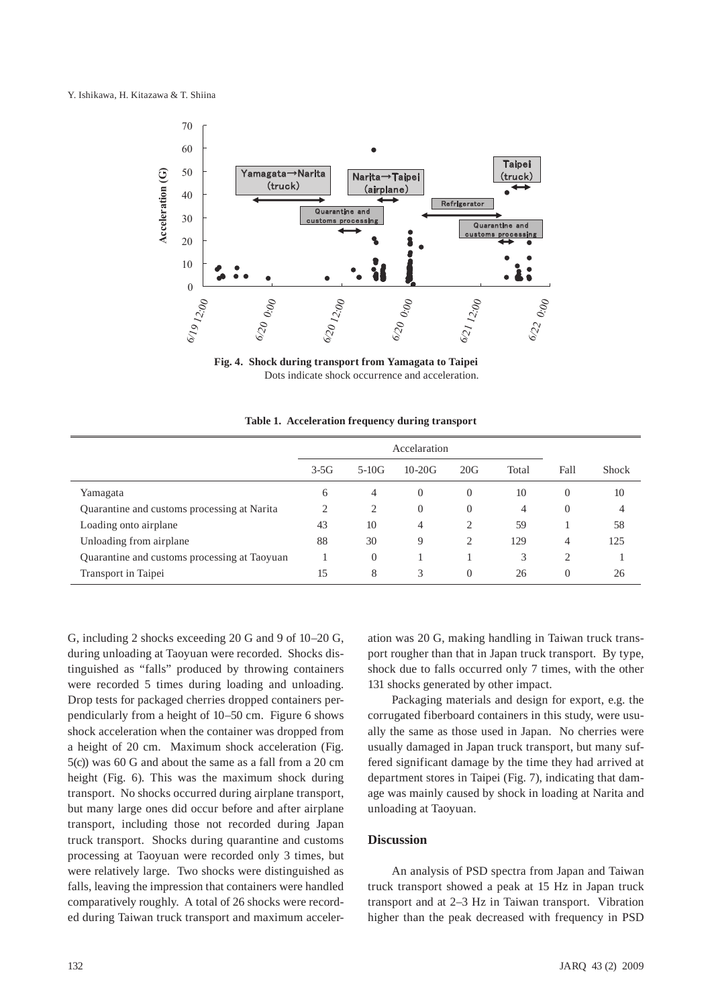

**Fig. 4. Shock during transport from Yamagata to Taipei** Dots indicate shock occurrence and acceleration.

 **Table 1. Acceleration frequency during transport**

|                                              | Accelaration |          |          |                |       |          |              |
|----------------------------------------------|--------------|----------|----------|----------------|-------|----------|--------------|
|                                              | $3-5G$       | $5-10G$  | $10-20G$ | 20G            | Total | Fall     | <b>Shock</b> |
| Yamagata                                     | 6            | 4        | $\theta$ | $\theta$       | 10    | $\Omega$ | 10           |
| Quarantine and customs processing at Narita  | ◠            | 2        | $\theta$ | $\overline{0}$ | 4     | $\Omega$ | 4            |
| Loading onto airplane                        | 43           | 10       | 4        | 2              | 59    |          | 58           |
| Unloading from airplane                      | 88           | 30       | 9        | 2              | 129   | 4        | 125          |
| Quarantine and customs processing at Taoyuan |              | $\Omega$ |          |                | 3     | 2        |              |
| Transport in Taipei                          | 15           | 8        | 3        | $\Omega$       | 26    | $\left($ | 26           |

G, including 2 shocks exceeding 20 G and 9 of 10–20 G, during unloading at Taoyuan were recorded. Shocks distinguished as "falls" produced by throwing containers were recorded 5 times during loading and unloading. Drop tests for packaged cherries dropped containers perpendicularly from a height of 10–50 cm. Figure 6 shows shock acceleration when the container was dropped from a height of 20 cm. Maximum shock acceleration (Fig. 5(c)) was 60 G and about the same as a fall from a 20 cm height (Fig. 6). This was the maximum shock during transport. No shocks occurred during airplane transport, but many large ones did occur before and after airplane transport, including those not recorded during Japan truck transport. Shocks during quarantine and customs processing at Taoyuan were recorded only 3 times, but were relatively large. Two shocks were distinguished as falls, leaving the impression that containers were handled comparatively roughly. A total of 26 shocks were recorded during Taiwan truck transport and maximum acceler-

ation was 20 G, making handling in Taiwan truck transport rougher than that in Japan truck transport. By type, shock due to falls occurred only 7 times, with the other 131 shocks generated by other impact.

Packaging materials and design for export, e.g. the corrugated fiberboard containers in this study, were usually the same as those used in Japan. No cherries were usually damaged in Japan truck transport, but many suffered significant damage by the time they had arrived at department stores in Taipei (Fig. 7), indicating that damage was mainly caused by shock in loading at Narita and unloading at Taoyuan.

#### **Discussion**

An analysis of PSD spectra from Japan and Taiwan truck transport showed a peak at 15 Hz in Japan truck transport and at 2–3 Hz in Taiwan transport. Vibration higher than the peak decreased with frequency in PSD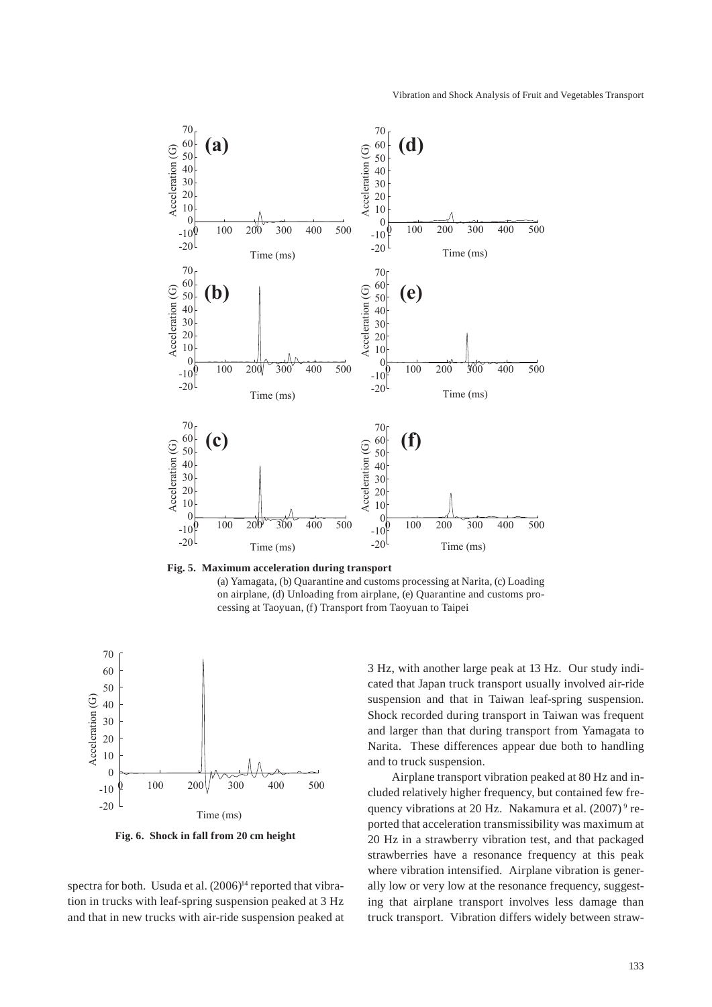

**Fig. 5. Maximum acceleration during transport** (a) Yamagata, (b) Quarantine and customs processing at Narita, (c) Loading on airplane, (d) Unloading from airplane, (e) Quarantine and customs processing at Taoyuan, (f) Transport from Taoyuan to Taipei



**Fig. 6. Shock in fall from 20 cm height**

spectra for both. Usuda et al. (2006)<sup>14</sup> reported that vibration in trucks with leaf-spring suspension peaked at 3 Hz and that in new trucks with air-ride suspension peaked at 3 Hz, with another large peak at 13 Hz. Our study indicated that Japan truck transport usually involved air-ride suspension and that in Taiwan leaf-spring suspension. Shock recorded during transport in Taiwan was frequent and larger than that during transport from Yamagata to Narita. These differences appear due both to handling and to truck suspension.

Airplane transport vibration peaked at 80 Hz and included relatively higher frequency, but contained few frequency vibrations at 20 Hz. Nakamura et al.  $(2007)^9$  reported that acceleration transmissibility was maximum at 20 Hz in a strawberry vibration test, and that packaged strawberries have a resonance frequency at this peak where vibration intensified. Airplane vibration is generally low or very low at the resonance frequency, suggesting that airplane transport involves less damage than truck transport. Vibration differs widely between straw-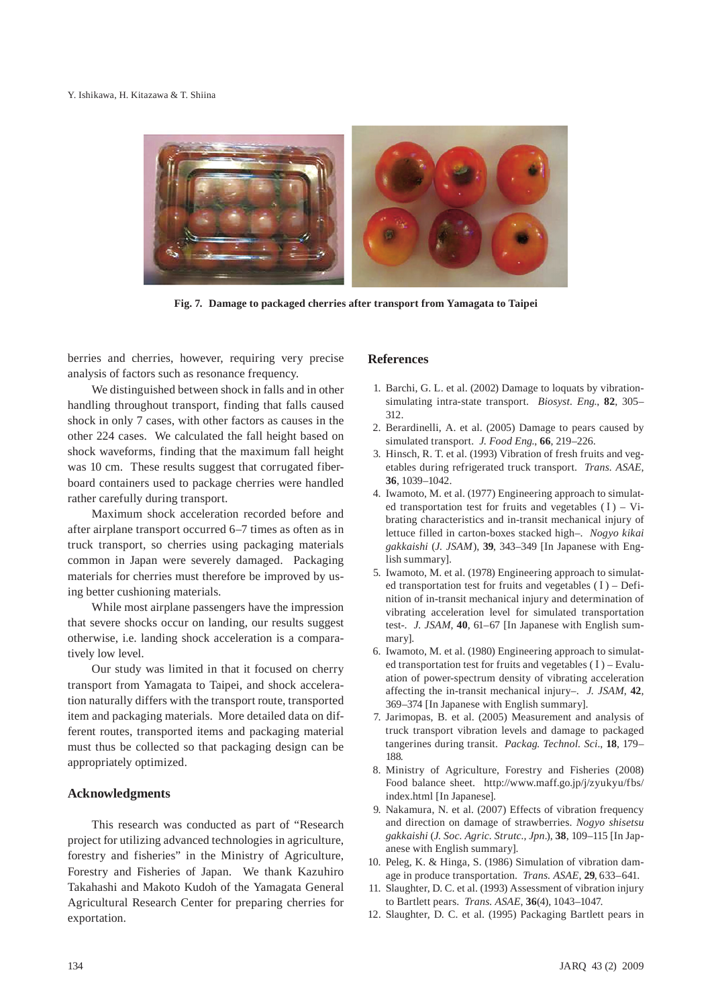

**Fig. 7. Damage to packaged cherries after transport from Yamagata to Taipei**

berries and cherries, however, requiring very precise analysis of factors such as resonance frequency.

We distinguished between shock in falls and in other handling throughout transport, finding that falls caused shock in only 7 cases, with other factors as causes in the other 224 cases. We calculated the fall height based on shock waveforms, finding that the maximum fall height was 10 cm. These results suggest that corrugated fiberboard containers used to package cherries were handled rather carefully during transport.

Maximum shock acceleration recorded before and after airplane transport occurred 6–7 times as often as in truck transport, so cherries using packaging materials common in Japan were severely damaged. Packaging materials for cherries must therefore be improved by using better cushioning materials.

While most airplane passengers have the impression that severe shocks occur on landing, our results suggest otherwise, i.e. landing shock acceleration is a comparatively low level.

Our study was limited in that it focused on cherry transport from Yamagata to Taipei, and shock acceleration naturally differs with the transport route, transported item and packaging materials. More detailed data on different routes, transported items and packaging material must thus be collected so that packaging design can be appropriately optimized.

# **Acknowledgments**

This research was conducted as part of "Research project for utilizing advanced technologies in agriculture, forestry and fisheries" in the Ministry of Agriculture, Forestry and Fisheries of Japan. We thank Kazuhiro Takahashi and Makoto Kudoh of the Yamagata General Agricultural Research Center for preparing cherries for exportation.

# **References**

- 1. Barchi, G. L. et al. (2002) Damage to loquats by vibrationsimulating intra-state transport. *Biosyst. Eng.*, **82**, 305– 312.
- 2. Berardinelli, A. et al. (2005) Damage to pears caused by simulated transport. *J. Food Eng.*, **66**, 219–226.
- 3. Hinsch, R. T. et al. (1993) Vibration of fresh fruits and vegetables during refrigerated truck transport. *Trans. ASAE*, **36**, 1039–1042.
- 4. Iwamoto, M. et al. (1977) Engineering approach to simulated transportation test for fruits and vegetables  $(I) - Vi$ brating characteristics and in-transit mechanical injury of lettuce filled in carton-boxes stacked high–. *Nogyo kikai gakkaishi* (*J. JSAM*), **39**, 343–349 [In Japanese with English summary].
- 5. Iwamoto, M. et al. (1978) Engineering approach to simulated transportation test for fruits and vegetables  $(I)$  – Definition of in-transit mechanical injury and determination of vibrating acceleration level for simulated transportation test-. *J. JSAM*, **40**, 61–67 [In Japanese with English summary].
- 6. Iwamoto, M. et al. (1980) Engineering approach to simulated transportation test for fruits and vegetables  $(I)$  – Evaluation of power-spectrum density of vibrating acceleration affecting the in-transit mechanical injury–. *J. JSAM*, **42**, 369–374 [In Japanese with English summary].
- 7. Jarimopas, B. et al. (2005) Measurement and analysis of truck transport vibration levels and damage to packaged tangerines during transit. *Packag. Technol. Sci.*, **18**, 179– 188.
- 8. Ministry of Agriculture, Forestry and Fisheries (2008) Food balance sheet. http://www.maff.go.jp/j/zyukyu/fbs/ index.html [In Japanese].
- 9. Nakamura, N. et al. (2007) Effects of vibration frequency and direction on damage of strawberries. *Nogyo shisetsu gakkaishi* (*J. Soc. Agric. Strutc., Jpn.*), **38**, 109–115 [In Japanese with English summary].
- 10. Peleg, K. & Hinga, S. (1986) Simulation of vibration damage in produce transportation. *Trans. ASAE*, **29**, 633–641.
- 11. Slaughter, D. C. et al. (1993) Assessment of vibration injury to Bartlett pears. *Trans. ASAE*, **36**(4), 1043–1047.
- 12. Slaughter, D. C. et al. (1995) Packaging Bartlett pears in